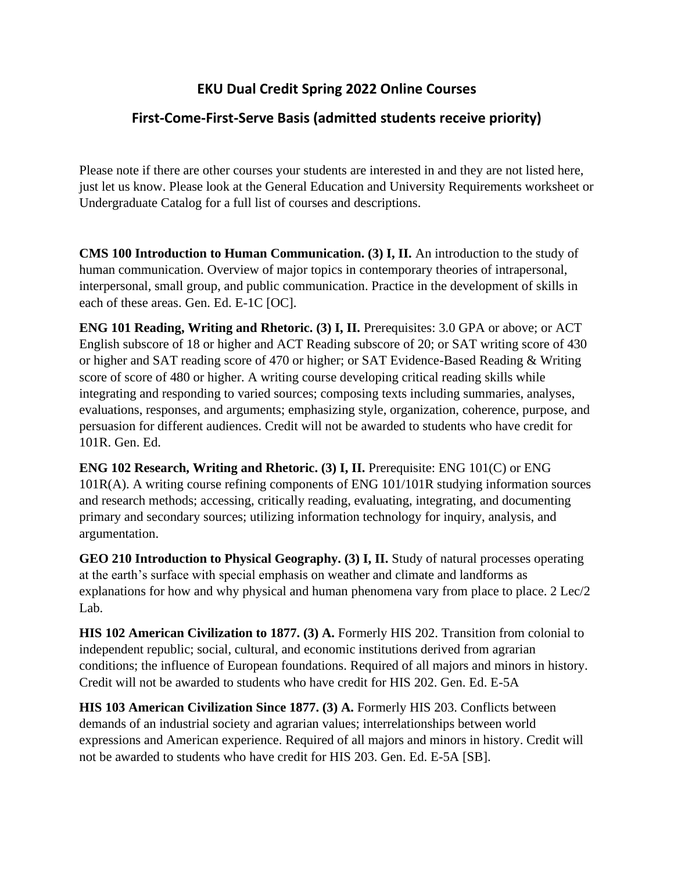## **EKU Dual Credit Spring 2022 Online Courses**

## **First-Come-First-Serve Basis (admitted students receive priority)**

Please note if there are other courses your students are interested in and they are not listed here, just let us know. Please look at the General Education and University Requirements worksheet or Undergraduate Catalog for a full list of courses and descriptions.

**CMS 100 Introduction to Human Communication. (3) I, II.** An introduction to the study of human communication. Overview of major topics in contemporary theories of intrapersonal, interpersonal, small group, and public communication. Practice in the development of skills in each of these areas. Gen. Ed. E-1C [OC].

**ENG 101 Reading, Writing and Rhetoric. (3) I, II. Prerequisites: 3.0 GPA or above; or ACT** English subscore of 18 or higher and ACT Reading subscore of 20; or SAT writing score of 430 or higher and SAT reading score of 470 or higher; or SAT Evidence-Based Reading & Writing score of score of 480 or higher. A writing course developing critical reading skills while integrating and responding to varied sources; composing texts including summaries, analyses, evaluations, responses, and arguments; emphasizing style, organization, coherence, purpose, and persuasion for different audiences. Credit will not be awarded to students who have credit for 101R. Gen. Ed.

**ENG 102 Research, Writing and Rhetoric. (3) I, II. Prerequisite: ENG 101(C) or ENG** 101R(A). A writing course refining components of ENG 101/101R studying information sources and research methods; accessing, critically reading, evaluating, integrating, and documenting primary and secondary sources; utilizing information technology for inquiry, analysis, and argumentation.

**GEO 210 Introduction to Physical Geography. (3) I, II. Study of natural processes operating** at the earth's surface with special emphasis on weather and climate and landforms as explanations for how and why physical and human phenomena vary from place to place. 2 Lec/2 Lab.

**HIS 102 American Civilization to 1877. (3) A.** Formerly HIS 202. Transition from colonial to independent republic; social, cultural, and economic institutions derived from agrarian conditions; the influence of European foundations. Required of all majors and minors in history. Credit will not be awarded to students who have credit for HIS 202. Gen. Ed. E-5A

**HIS 103 American Civilization Since 1877. (3) A. Formerly HIS 203. Conflicts between** demands of an industrial society and agrarian values; interrelationships between world expressions and American experience. Required of all majors and minors in history. Credit will not be awarded to students who have credit for HIS 203. Gen. Ed. E-5A [SB].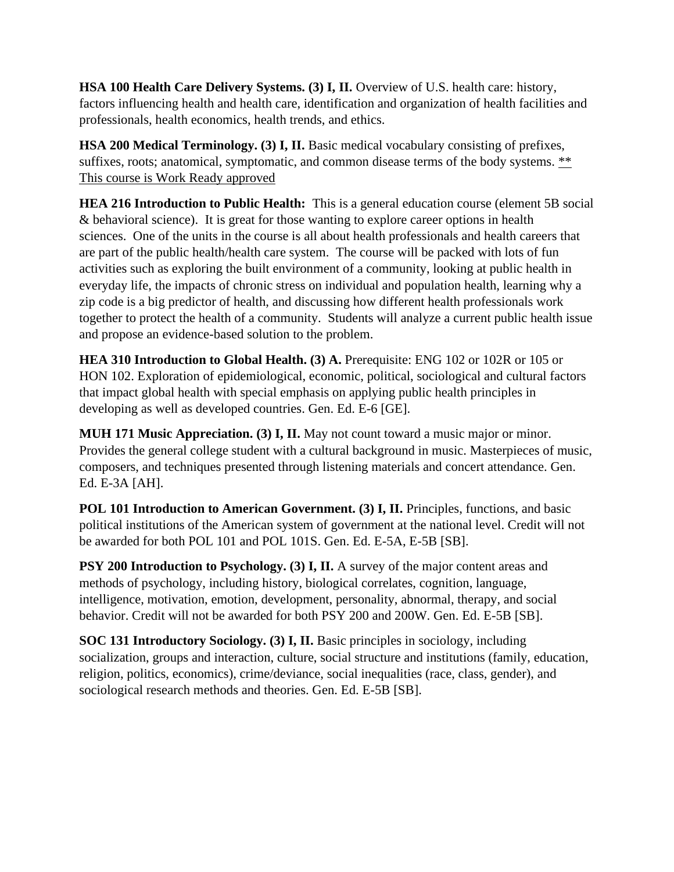**HSA 100 Health Care Delivery Systems. (3) I, II. Overview of U.S. health care: history,** factors influencing health and health care, identification and organization of health facilities and professionals, health economics, health trends, and ethics.

**HSA 200 Medical Terminology. (3) I, II.** Basic medical vocabulary consisting of prefixes, suffixes, roots; anatomical, symptomatic, and common disease terms of the body systems. \*\* This course is Work Ready approved

**HEA 216 Introduction to Public Health:** This is a general education course (element 5B social & behavioral science). It is great for those wanting to explore career options in health sciences. One of the units in the course is all about health professionals and health careers that are part of the public health/health care system. The course will be packed with lots of fun activities such as exploring the built environment of a community, looking at public health in everyday life, the impacts of chronic stress on individual and population health, learning why a zip code is a big predictor of health, and discussing how different health professionals work together to protect the health of a community. Students will analyze a current public health issue and propose an evidence-based solution to the problem.

**HEA 310 Introduction to Global Health. (3) A.** Prerequisite: ENG 102 or 102R or 105 or HON 102. Exploration of epidemiological, economic, political, sociological and cultural factors that impact global health with special emphasis on applying public health principles in developing as well as developed countries. Gen. Ed. E-6 [GE].

**MUH 171 Music Appreciation. (3) I, II.** May not count toward a music major or minor. Provides the general college student with a cultural background in music. Masterpieces of music, composers, and techniques presented through listening materials and concert attendance. Gen. Ed. E-3A [AH].

**POL 101 Introduction to American Government. (3) I, II. Principles, functions, and basic** political institutions of the American system of government at the national level. Credit will not be awarded for both POL 101 and POL 101S. Gen. Ed. E-5A, E-5B [SB].

**PSY 200 Introduction to Psychology. (3) I, II.** A survey of the major content areas and methods of psychology, including history, biological correlates, cognition, language, intelligence, motivation, emotion, development, personality, abnormal, therapy, and social behavior. Credit will not be awarded for both PSY 200 and 200W. Gen. Ed. E-5B [SB].

**SOC 131 Introductory Sociology. (3) I, II.** Basic principles in sociology, including socialization, groups and interaction, culture, social structure and institutions (family, education, religion, politics, economics), crime/deviance, social inequalities (race, class, gender), and sociological research methods and theories. Gen. Ed. E-5B [SB].